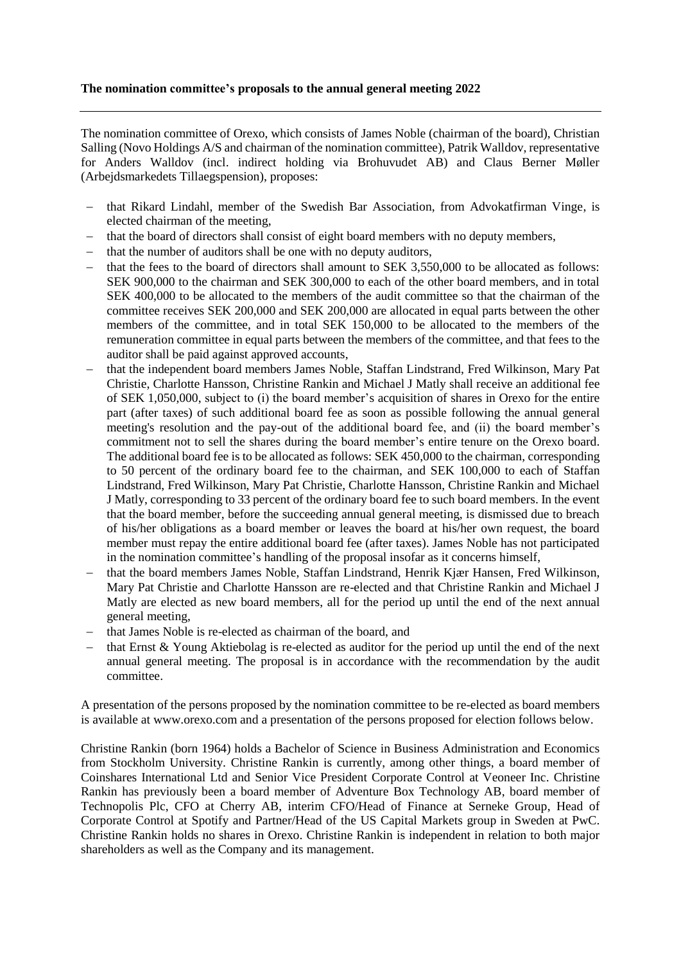## **The nomination committee's proposals to the annual general meeting 2022**

The nomination committee of Orexo, which consists of James Noble (chairman of the board), Christian Salling (Novo Holdings A/S and chairman of the nomination committee), Patrik Walldov, representative for Anders Walldov (incl. indirect holding via Brohuvudet AB) and Claus Berner Møller (Arbejdsmarkedets Tillaegspension), proposes:

- that Rikard Lindahl, member of the Swedish Bar Association, from Advokatfirman Vinge, is elected chairman of the meeting,
- that the board of directors shall consist of eight board members with no deputy members,
- that the number of auditors shall be one with no deputy auditors,
- that the fees to the board of directors shall amount to SEK 3.550,000 to be allocated as follows: SEK 900,000 to the chairman and SEK 300,000 to each of the other board members, and in total SEK 400,000 to be allocated to the members of the audit committee so that the chairman of the committee receives SEK 200,000 and SEK 200,000 are allocated in equal parts between the other members of the committee, and in total SEK 150,000 to be allocated to the members of the remuneration committee in equal parts between the members of the committee, and that fees to the auditor shall be paid against approved accounts,
- that the independent board members James Noble, Staffan Lindstrand, Fred Wilkinson, Mary Pat Christie, Charlotte Hansson, Christine Rankin and Michael J Matly shall receive an additional fee of SEK 1,050,000, subject to (i) the board member's acquisition of shares in Orexo for the entire part (after taxes) of such additional board fee as soon as possible following the annual general meeting's resolution and the pay-out of the additional board fee, and (ii) the board member's commitment not to sell the shares during the board member's entire tenure on the Orexo board. The additional board fee is to be allocated as follows: SEK 450,000 to the chairman, corresponding to 50 percent of the ordinary board fee to the chairman, and SEK 100,000 to each of Staffan Lindstrand, Fred Wilkinson, Mary Pat Christie, Charlotte Hansson, Christine Rankin and Michael J Matly, corresponding to 33 percent of the ordinary board fee to such board members. In the event that the board member, before the succeeding annual general meeting, is dismissed due to breach of his/her obligations as a board member or leaves the board at his/her own request, the board member must repay the entire additional board fee (after taxes). James Noble has not participated in the nomination committee's handling of the proposal insofar as it concerns himself,
- that the board members James Noble, Staffan Lindstrand, Henrik Kjær Hansen, Fred Wilkinson, Mary Pat Christie and Charlotte Hansson are re-elected and that Christine Rankin and Michael J Matly are elected as new board members, all for the period up until the end of the next annual general meeting,
- that James Noble is re-elected as chairman of the board, and
- that Ernst & Young Aktiebolag is re-elected as auditor for the period up until the end of the next annual general meeting. The proposal is in accordance with the recommendation by the audit committee.

A presentation of the persons proposed by the nomination committee to be re-elected as board members is available at [www.orexo.com](http://www.orexo.com/) and a presentation of the persons proposed for election follows below.

Christine Rankin (born 1964) holds a Bachelor of Science in Business Administration and Economics from Stockholm University. Christine Rankin is currently, among other things, a board member of Coinshares International Ltd and Senior Vice President Corporate Control at Veoneer Inc. Christine Rankin has previously been a board member of Adventure Box Technology AB, board member of Technopolis Plc, CFO at Cherry AB, interim CFO/Head of Finance at Serneke Group, Head of Corporate Control at Spotify and Partner/Head of the US Capital Markets group in Sweden at PwC. Christine Rankin holds no shares in Orexo. Christine Rankin is independent in relation to both major shareholders as well as the Company and its management.